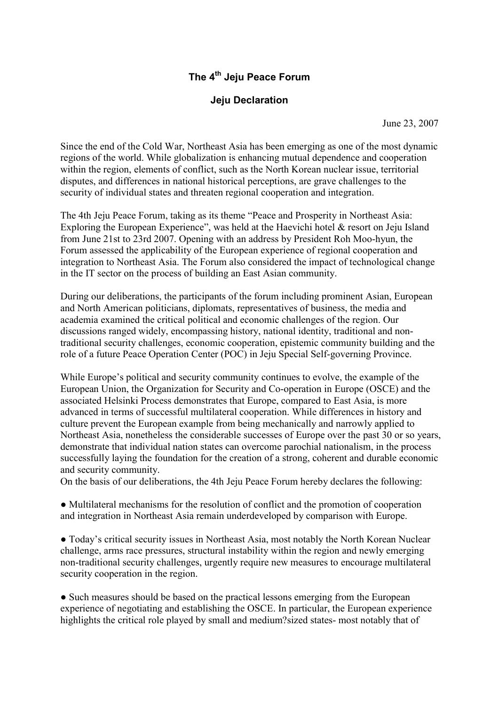## The 4<sup>th</sup> Jeju Peace Forum

## Jeju Declaration

June 23, 2007

Since the end of the Cold War, Northeast Asia has been emerging as one of the most dynamic regions of the world. While globalization is enhancing mutual dependence and cooperation within the region, elements of conflict, such as the North Korean nuclear issue, territorial disputes, and differences in national historical perceptions, are grave challenges to the security of individual states and threaten regional cooperation and integration.

The 4th Jeju Peace Forum, taking as its theme "Peace and Prosperity in Northeast Asia: Exploring the European Experience", was held at the Haevichi hotel & resort on Jeju Island from June 21st to 23rd 2007. Opening with an address by President Roh Moo-hyun, the Forum assessed the applicability of the European experience of regional cooperation and integration to Northeast Asia. The Forum also considered the impact of technological change in the IT sector on the process of building an East Asian community.

During our deliberations, the participants of the forum including prominent Asian, European and North American politicians, diplomats, representatives of business, the media and academia examined the critical political and economic challenges of the region. Our discussions ranged widely, encompassing history, national identity, traditional and nontraditional security challenges, economic cooperation, epistemic community building and the role of a future Peace Operation Center (POC) in Jeju Special Self-governing Province.

While Europe's political and security community continues to evolve, the example of the European Union, the Organization for Security and Co-operation in Europe (OSCE) and the associated Helsinki Process demonstrates that Europe, compared to East Asia, is more advanced in terms of successful multilateral cooperation. While differences in history and culture prevent the European example from being mechanically and narrowly applied to Northeast Asia, nonetheless the considerable successes of Europe over the past 30 or so years, demonstrate that individual nation states can overcome parochial nationalism, in the process successfully laying the foundation for the creation of a strong, coherent and durable economic and security community.

On the basis of our deliberations, the 4th Jeju Peace Forum hereby declares the following:

● Multilateral mechanisms for the resolution of conflict and the promotion of cooperation and integration in Northeast Asia remain underdeveloped by comparison with Europe.

● Today's critical security issues in Northeast Asia, most notably the North Korean Nuclear challenge, arms race pressures, structural instability within the region and newly emerging non-traditional security challenges, urgently require new measures to encourage multilateral security cooperation in the region.

• Such measures should be based on the practical lessons emerging from the European experience of negotiating and establishing the OSCE. In particular, the European experience highlights the critical role played by small and medium?sized states- most notably that of